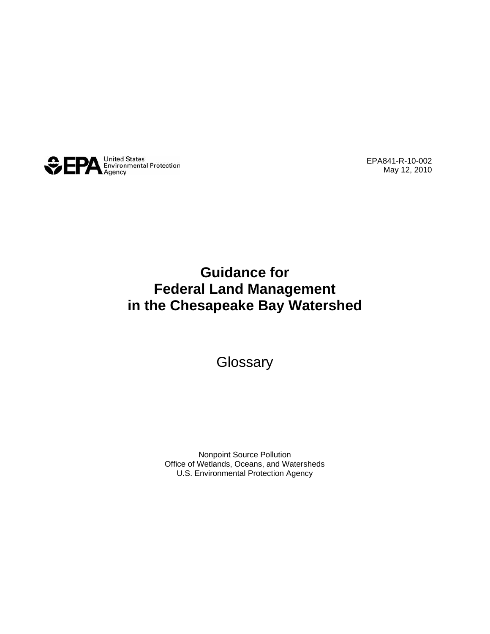

EPA841-R-10-002 May 12, 2010

## **Guidance for Federal Land Management in the Chesapeake Bay Watershed**

**Glossary** 

Nonpoint Source Pollution Office of Wetlands, Oceans, and Watersheds U.S. Environmental Protection Agency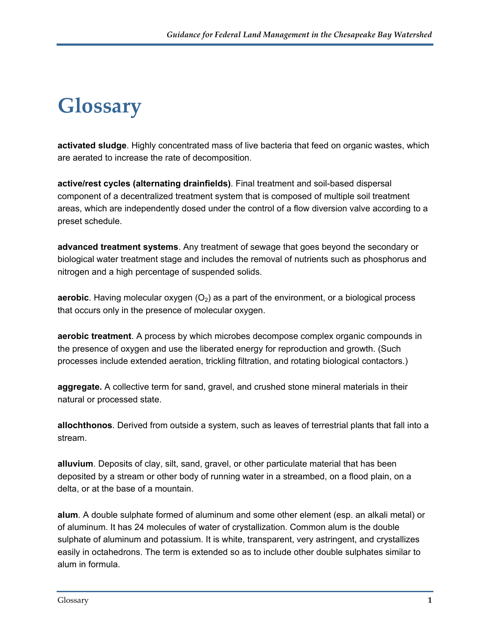## **Glossary**

**activated sludge**. Highly concentrated mass of live bacteria that feed on organic wastes, which are aerated to increase the rate of decomposition.

**active/rest cycles (alternating drainfields)**. Final treatment and soil-based dispersal component of a decentralized treatment system that is composed of multiple soil treatment areas, which are independently dosed under the control of a flow diversion valve according to a preset schedule.

**advanced treatment systems**. Any treatment of sewage that goes beyond the secondary or biological water treatment stage and includes the removal of nutrients such as phosphorus and nitrogen and a high percentage of suspended solids.

**aerobic**. Having molecular oxygen  $(O_2)$  as a part of the environment, or a biological process that occurs only in the presence of molecular oxygen.

**aerobic treatment**. A process by which microbes decompose complex organic compounds in the presence of oxygen and use the liberated energy for reproduction and growth. (Such processes include extended aeration, trickling filtration, and rotating biological contactors.)

**aggregate.** A collective term for sand, gravel, and crushed stone mineral materials in their natural or processed state.

**allochthonos**. Derived from outside a system, such as leaves of terrestrial plants that fall into a stream.

**alluvium**. Deposits of clay, silt, sand, gravel, or other particulate material that has been deposited by a stream or other body of running water in a streambed, on a flood plain, on a delta, or at the base of a mountain.

**alum**. A double sulphate formed of aluminum and some other element (esp. an alkali metal) or of aluminum. It has 24 molecules of water of crystallization. Common alum is the double sulphate of aluminum and potassium. It is white, transparent, very astringent, and crystallizes easily in octahedrons. The term is extended so as to include other double sulphates similar to alum in formula.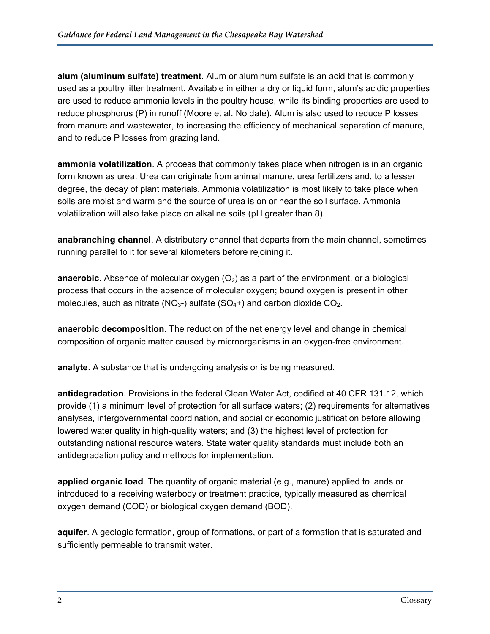**alum (aluminum sulfate) treatment**. Alum or aluminum sulfate is an acid that is commonly used as a poultry litter treatment. Available in either a dry or liquid form, alum's acidic properties are used to reduce ammonia levels in the poultry house, while its binding properties are used to reduce phosphorus (P) in runoff (Moore et al. No date). Alum is also used to reduce P losses from manure and wastewater, to increasing the efficiency of mechanical separation of manure, and to reduce P losses from grazing land.

**ammonia volatilization**. A process that commonly takes place when nitrogen is in an organic form known as urea. Urea can originate from animal manure, urea fertilizers and, to a lesser degree, the decay of plant materials. Ammonia volatilization is most likely to take place when soils are moist and warm and the source of urea is on or near the soil surface. Ammonia volatilization will also take place on alkaline soils (pH greater than 8).

**anabranching channel**. A distributary channel that departs from the main channel, sometimes running parallel to it for several kilometers before rejoining it.

**anaerobic**. Absence of molecular oxygen  $(O<sub>2</sub>)$  as a part of the environment, or a biological process that occurs in the absence of molecular oxygen; bound oxygen is present in other molecules, such as nitrate ( $NO<sub>3</sub>$ -) sulfate ( $SO<sub>4</sub>$ +) and carbon dioxide  $CO<sub>2</sub>$ .

**anaerobic decomposition**. The reduction of the net energy level and change in chemical composition of organic matter caused by microorganisms in an oxygen-free environment.

**analyte**. A substance that is undergoing analysis or is being measured.

**antidegradation**. Provisions in the federal Clean Water Act, codified at 40 CFR 131.12, which provide (1) a minimum level of protection for all surface waters; (2) requirements for alternatives analyses, intergovernmental coordination, and social or economic justification before allowing lowered water quality in high-quality waters; and (3) the highest level of protection for outstanding national resource waters. State water quality standards must include both an antidegradation policy and methods for implementation.

**applied organic load**. The quantity of organic material (e.g., manure) applied to lands or introduced to a receiving waterbody or treatment practice, typically measured as chemical oxygen demand (COD) or biological oxygen demand (BOD).

**aquifer**. A geologic formation, group of formations, or part of a formation that is saturated and sufficiently permeable to transmit water.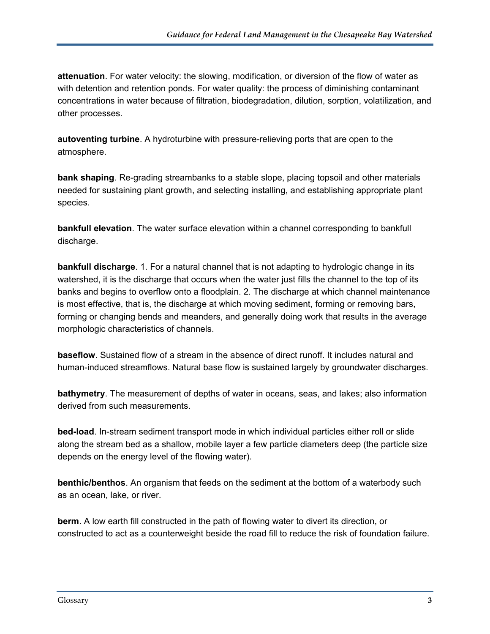**attenuation**. For water velocity: the slowing, modification, or diversion of the flow of water as with detention and retention ponds. For water quality: the process of diminishing contaminant concentrations in water because of filtration, biodegradation, dilution, sorption, volatilization, and other processes.

**autoventing turbine**. A hydroturbine with pressure-relieving ports that are open to the atmosphere.

**bank shaping**. Re-grading streambanks to a stable slope, placing topsoil and other materials needed for sustaining plant growth, and selecting installing, and establishing appropriate plant species.

**bankfull elevation**. The water surface elevation within a channel corresponding to bankfull discharge.

**bankfull discharge**. 1. For a natural channel that is not adapting to hydrologic change in its watershed, it is the discharge that occurs when the water just fills the channel to the top of its banks and begins to overflow onto a floodplain. 2. The discharge at which channel maintenance is most effective, that is, the discharge at which moving sediment, forming or removing bars, forming or changing bends and meanders, and generally doing work that results in the average morphologic characteristics of channels.

**baseflow**. Sustained flow of a stream in the absence of direct runoff. It includes natural and human-induced streamflows. Natural base flow is sustained largely by groundwater discharges.

**bathymetry**. The measurement of depths of water in oceans, seas, and lakes; also information derived from such measurements.

**bed-load**. In-stream sediment transport mode in which individual particles either roll or slide along the stream bed as a shallow, mobile layer a few particle diameters deep (the particle size depends on the energy level of the flowing water).

**benthic/benthos**. An organism that feeds on the sediment at the bottom of a waterbody such as an ocean, lake, or river.

**berm**. A low earth fill constructed in the path of flowing water to divert its direction, or constructed to act as a counterweight beside the road fill to reduce the risk of foundation failure.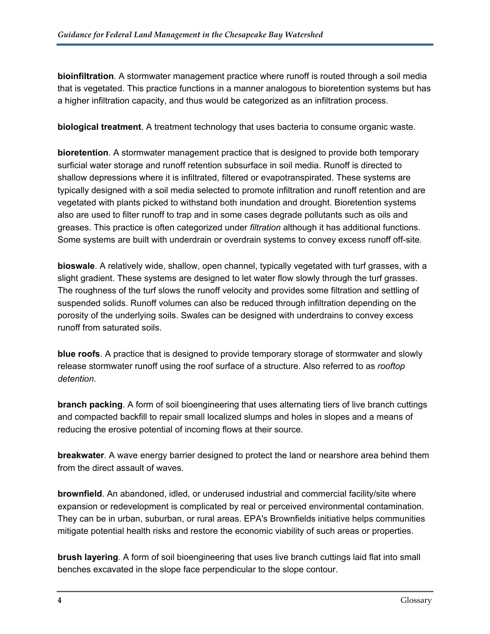**bioinfiltration**. A stormwater management practice where runoff is routed through a soil media that is vegetated. This practice functions in a manner analogous to bioretention systems but has a higher infiltration capacity, and thus would be categorized as an infiltration process.

**biological treatment**. A treatment technology that uses bacteria to consume organic waste.

**bioretention**. A stormwater management practice that is designed to provide both temporary surficial water storage and runoff retention subsurface in soil media. Runoff is directed to shallow depressions where it is infiltrated, filtered or evapotranspirated. These systems are typically designed with a soil media selected to promote infiltration and runoff retention and are vegetated with plants picked to withstand both inundation and drought. Bioretention systems also are used to filter runoff to trap and in some cases degrade pollutants such as oils and greases. This practice is often categorized under *filtration* although it has additional functions. Some systems are built with underdrain or overdrain systems to convey excess runoff off-site.

**bioswale**. A relatively wide, shallow, open channel, typically vegetated with turf grasses, with a slight gradient. These systems are designed to let water flow slowly through the turf grasses. The roughness of the turf slows the runoff velocity and provides some filtration and settling of suspended solids. Runoff volumes can also be reduced through infiltration depending on the porosity of the underlying soils. Swales can be designed with underdrains to convey excess runoff from saturated soils.

**blue roofs**. A practice that is designed to provide temporary storage of stormwater and slowly release stormwater runoff using the roof surface of a structure. Also referred to as *rooftop detention*.

**branch packing**. A form of soil bioengineering that uses alternating tiers of live branch cuttings and compacted backfill to repair small localized slumps and holes in slopes and a means of reducing the erosive potential of incoming flows at their source.

**breakwater**. A wave energy barrier designed to protect the land or nearshore area behind them from the direct assault of waves.

**brownfield**. An abandoned, idled, or underused industrial and commercial facility/site where expansion or redevelopment is complicated by real or perceived environmental contamination. They can be in urban, suburban, or rural areas. EPA's Brownfields initiative helps communities mitigate potential health risks and restore the economic viability of such areas or properties.

**brush layering**. A form of soil bioengineering that uses live branch cuttings laid flat into small benches excavated in the slope face perpendicular to the slope contour.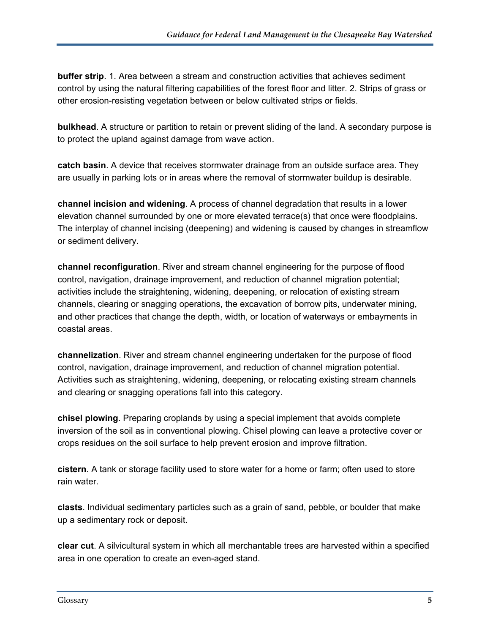**buffer strip**. 1. Area between a stream and construction activities that achieves sediment control by using the natural filtering capabilities of the forest floor and litter. 2. Strips of grass or other erosion-resisting vegetation between or below cultivated strips or fields.

**bulkhead**. A structure or partition to retain or prevent sliding of the land. A secondary purpose is to protect the upland against damage from wave action.

**catch basin**. A device that receives stormwater drainage from an outside surface area. They are usually in parking lots or in areas where the removal of stormwater buildup is desirable.

**channel incision and widening**. A process of channel degradation that results in a lower elevation channel surrounded by one or more elevated terrace(s) that once were floodplains. The interplay of channel incising (deepening) and widening is caused by changes in streamflow or sediment delivery.

**channel reconfiguration**. River and stream channel engineering for the purpose of flood control, navigation, drainage improvement, and reduction of channel migration potential; activities include the straightening, widening, deepening, or relocation of existing stream channels, clearing or snagging operations, the excavation of borrow pits, underwater mining, and other practices that change the depth, width, or location of waterways or embayments in coastal areas.

**channelization**. River and stream channel engineering undertaken for the purpose of flood control, navigation, drainage improvement, and reduction of channel migration potential. Activities such as straightening, widening, deepening, or relocating existing stream channels and clearing or snagging operations fall into this category.

**chisel plowing**. Preparing croplands by using a special implement that avoids complete inversion of the soil as in conventional plowing. Chisel plowing can leave a protective cover or crops residues on the soil surface to help prevent erosion and improve filtration.

**cistern**. A tank or storage facility used to store water for a home or farm; often used to store rain water.

**clasts**. Individual sedimentary particles such as a grain of sand, pebble, or boulder that make up a sedimentary rock or deposit.

**clear cut**. A silvicultural system in which all merchantable trees are harvested within a specified area in one operation to create an even-aged stand.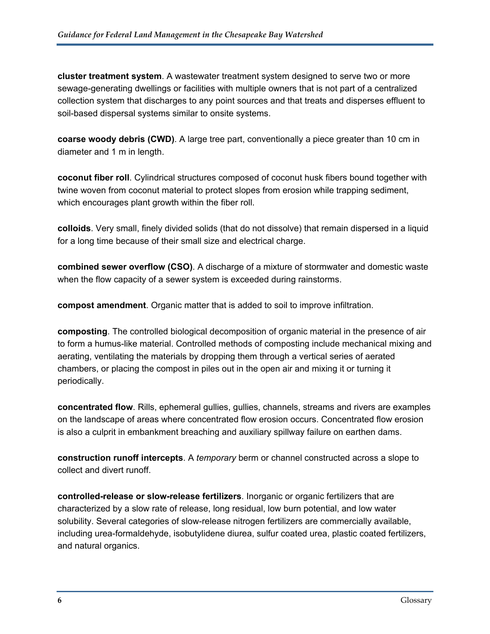**cluster treatment system**. A wastewater treatment system designed to serve two or more sewage-generating dwellings or facilities with multiple owners that is not part of a centralized collection system that discharges to any point sources and that treats and disperses effluent to soil-based dispersal systems similar to onsite systems.

**coarse woody debris (CWD)**. A large tree part, conventionally a piece greater than 10 cm in diameter and 1 m in length.

**coconut fiber roll**. Cylindrical structures composed of coconut husk fibers bound together with twine woven from coconut material to protect slopes from erosion while trapping sediment, which encourages plant growth within the fiber roll.

**colloids**. Very small, finely divided solids (that do not dissolve) that remain dispersed in a liquid for a long time because of their small size and electrical charge.

**combined sewer overflow (CSO)**. A discharge of a mixture of stormwater and domestic waste when the flow capacity of a sewer system is exceeded during rainstorms.

**compost amendment**. Organic matter that is added to soil to improve infiltration.

**composting**. The controlled biological decomposition of organic material in the presence of air to form a humus-like material. Controlled methods of composting include mechanical mixing and aerating, ventilating the materials by dropping them through a vertical series of aerated chambers, or placing the compost in piles out in the open air and mixing it or turning it periodically.

**concentrated flow**. Rills, ephemeral gullies, gullies, channels, streams and rivers are examples on the landscape of areas where concentrated flow erosion occurs. Concentrated flow erosion is also a culprit in embankment breaching and auxiliary spillway failure on earthen dams.

**construction runoff intercepts**. A *temporary* berm or channel constructed across a slope to collect and divert runoff.

**controlled-release or slow-release fertilizers**. Inorganic or organic fertilizers that are characterized by a slow rate of release, long residual, low burn potential, and low water solubility. Several categories of slow-release nitrogen fertilizers are commercially available, including urea-formaldehyde, isobutylidene diurea, sulfur coated urea, plastic coated fertilizers, and natural organics.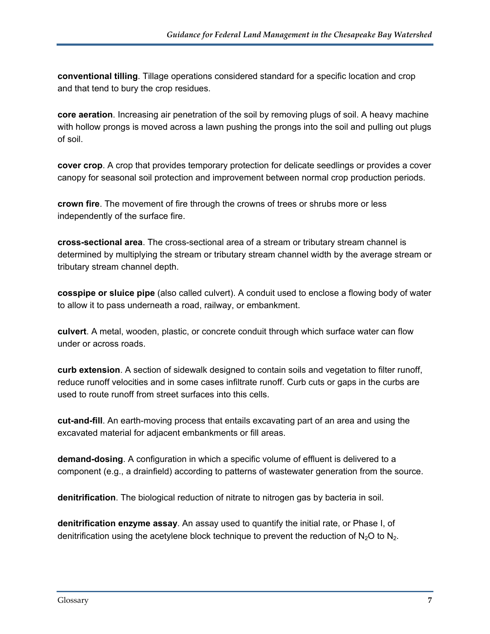**conventional tilling**. Tillage operations considered standard for a specific location and crop and that tend to bury the crop residues.

**core aeration**. Increasing air penetration of the soil by removing plugs of soil. A heavy machine with hollow prongs is moved across a lawn pushing the prongs into the soil and pulling out plugs of soil.

**cover crop**. A crop that provides temporary protection for delicate seedlings or provides a cover canopy for seasonal soil protection and improvement between normal crop production periods.

**crown fire**. The movement of fire through the crowns of trees or shrubs more or less independently of the surface fire.

**cross-sectional area**. The cross-sectional area of a stream or tributary stream channel is determined by multiplying the stream or tributary stream channel width by the average stream or tributary stream channel depth.

**cosspipe or sluice pipe** (also called culvert). A conduit used to enclose a flowing body of water to allow it to pass underneath a road, railway, or embankment.

**culvert**. A metal, wooden, plastic, or concrete conduit through which surface water can flow under or across roads.

**curb extension**. A section of sidewalk designed to contain soils and vegetation to filter runoff, reduce runoff velocities and in some cases infiltrate runoff. Curb cuts or gaps in the curbs are used to route runoff from street surfaces into this cells.

**cut-and-fill**. An earth-moving process that entails excavating part of an area and using the excavated material for adjacent embankments or fill areas.

**demand-dosing**. A configuration in which a specific volume of effluent is delivered to a component (e.g., a drainfield) according to patterns of wastewater generation from the source.

**denitrification**. The biological reduction of nitrate to nitrogen gas by bacteria in soil.

**denitrification enzyme assay**. An assay used to quantify the initial rate, or Phase I, of denitrification using the acetylene block technique to prevent the reduction of  $N_2O$  to  $N_2$ .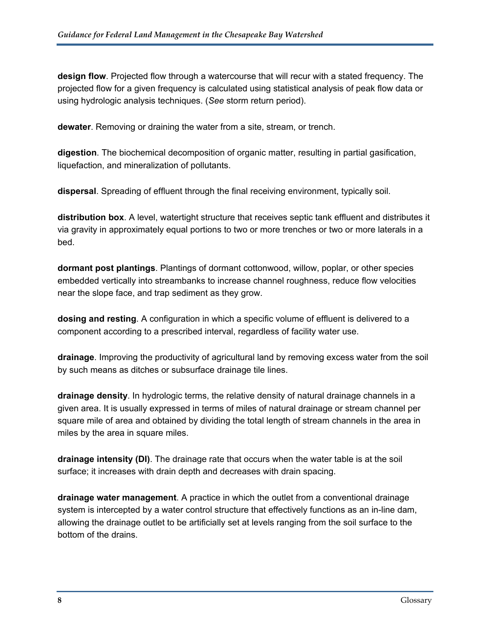**design flow**. Projected flow through a watercourse that will recur with a stated frequency. The projected flow for a given frequency is calculated using statistical analysis of peak flow data or using hydrologic analysis techniques. (*See* storm return period).

**dewater**. Removing or draining the water from a site, stream, or trench.

**digestion**. The biochemical decomposition of organic matter, resulting in partial gasification, liquefaction, and mineralization of pollutants.

**dispersal**. Spreading of effluent through the final receiving environment, typically soil.

**distribution box**. A level, watertight structure that receives septic tank effluent and distributes it via gravity in approximately equal portions to two or more trenches or two or more laterals in a bed.

**dormant post plantings**. Plantings of dormant cottonwood, willow, poplar, or other species embedded vertically into streambanks to increase channel roughness, reduce flow velocities near the slope face, and trap sediment as they grow.

**dosing and resting**. A configuration in which a specific volume of effluent is delivered to a component according to a prescribed interval, regardless of facility water use.

**drainage**. Improving the productivity of agricultural land by removing excess water from the soil by such means as ditches or subsurface drainage tile lines.

**drainage density**. In hydrologic terms, the relative density of natural drainage channels in a given area. It is usually expressed in terms of miles of natural drainage or stream channel per square mile of area and obtained by dividing the total length of stream channels in the area in miles by the area in square miles.

**drainage intensity (DI)**. The drainage rate that occurs when the water table is at the soil surface; it increases with drain depth and decreases with drain spacing.

**drainage water management**. A practice in which the outlet from a conventional drainage system is intercepted by a water control structure that effectively functions as an in-line dam, allowing the drainage outlet to be artificially set at levels ranging from the soil surface to the bottom of the drains.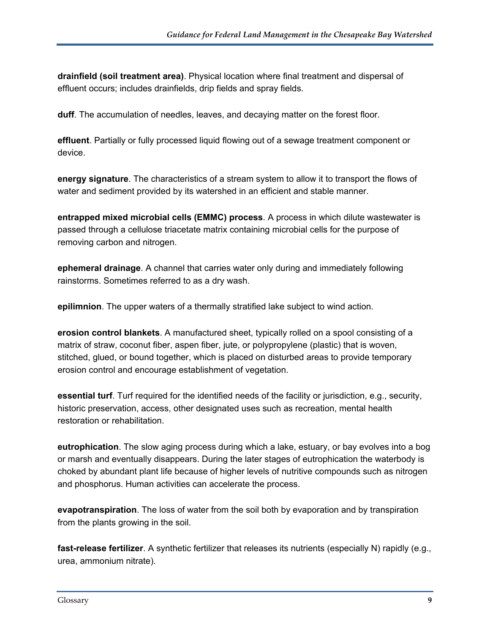**drainfield (soil treatment area)**. Physical location where final treatment and dispersal of effluent occurs; includes drainfields, drip fields and spray fields.

**duff**. The accumulation of needles, leaves, and decaying matter on the forest floor.

**effluent**. Partially or fully processed liquid flowing out of a sewage treatment component or device.

**energy signature**. The characteristics of a stream system to allow it to transport the flows of water and sediment provided by its watershed in an efficient and stable manner.

**entrapped mixed microbial cells (EMMC) process**. A process in which dilute wastewater is passed through a cellulose triacetate matrix containing microbial cells for the purpose of removing carbon and nitrogen.

**ephemeral drainage**. A channel that carries water only during and immediately following rainstorms. Sometimes referred to as a dry wash.

**epilimnion**. The upper waters of a thermally stratified lake subject to wind action.

**erosion control blankets**. A manufactured sheet, typically rolled on a spool consisting of a matrix of straw, coconut fiber, aspen fiber, jute, or polypropylene (plastic) that is woven, stitched, glued, or bound together, which is placed on disturbed areas to provide temporary erosion control and encourage establishment of vegetation.

**essential turf**. Turf required for the identified needs of the facility or jurisdiction, e.g., security, historic preservation, access, other designated uses such as recreation, mental health restoration or rehabilitation.

**eutrophication**. The slow aging process during which a lake, estuary, or bay evolves into a bog or marsh and eventually disappears. During the later stages of eutrophication the waterbody is choked by abundant plant life because of higher levels of nutritive compounds such as nitrogen and phosphorus. Human activities can accelerate the process.

**evapotranspiration**. The loss of water from the soil both by evaporation and by transpiration from the plants growing in the soil.

**fast-release fertilizer**. A synthetic fertilizer that releases its nutrients (especially N) rapidly (e.g., urea, ammonium nitrate).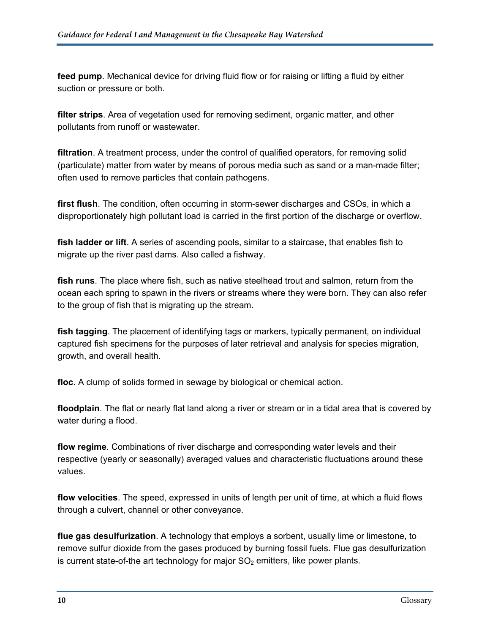**feed pump**. Mechanical device for driving fluid flow or for raising or lifting a fluid by either suction or pressure or both.

**filter strips**. Area of vegetation used for removing sediment, organic matter, and other pollutants from runoff or wastewater.

**filtration**. A treatment process, under the control of qualified operators, for removing solid (particulate) matter from water by means of porous media such as sand or a man-made filter; often used to remove particles that contain pathogens.

**first flush**. The condition, often occurring in storm-sewer discharges and CSOs, in which a disproportionately high pollutant load is carried in the first portion of the discharge or overflow.

**fish ladder or lift**. A series of ascending pools, similar to a staircase, that enables fish to migrate up the river past dams. Also called a fishway.

**fish runs**. The place where fish, such as native steelhead trout and salmon, return from the ocean each spring to spawn in the rivers or streams where they were born. They can also refer to the group of fish that is migrating up the stream.

**fish tagging**. The placement of identifying tags or markers, typically permanent, on individual captured fish specimens for the purposes of later retrieval and analysis for species migration, growth, and overall health.

**floc**. A clump of solids formed in sewage by biological or chemical action.

**floodplain**. The flat or nearly flat land along a river or stream or in a tidal area that is covered by water during a flood.

**flow regime**. Combinations of river discharge and corresponding water levels and their respective (yearly or seasonally) averaged values and characteristic fluctuations around these values.

**flow velocities**. The speed, expressed in units of length per unit of time, at which a fluid flows through a culvert, channel or other conveyance.

**flue gas desulfurization**. A technology that employs a sorbent, usually lime or limestone, to remove sulfur dioxide from the gases produced by burning fossil fuels. Flue gas desulfurization is current state-of-the art technology for major  $SO<sub>2</sub>$  emitters, like power plants.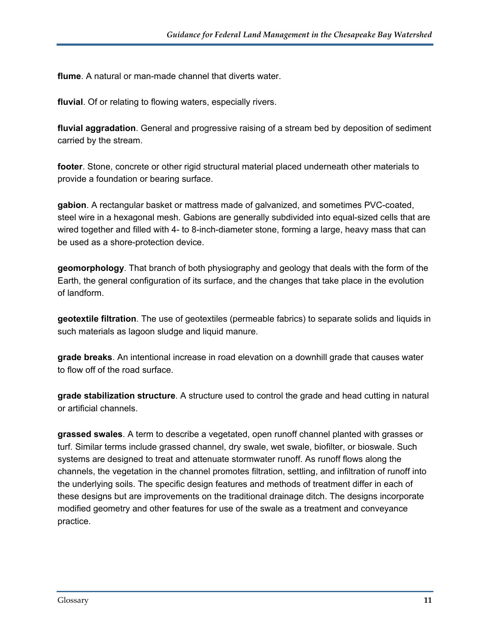**flume**. A natural or man-made channel that diverts water.

**fluvial**. Of or relating to flowing waters, especially rivers.

**fluvial aggradation**. General and progressive raising of a stream bed by deposition of sediment carried by the stream.

**footer**. Stone, concrete or other rigid structural material placed underneath other materials to provide a foundation or bearing surface.

**gabion**. A rectangular basket or mattress made of galvanized, and sometimes PVC-coated, steel wire in a hexagonal mesh. Gabions are generally subdivided into equal-sized cells that are wired together and filled with 4- to 8-inch-diameter stone, forming a large, heavy mass that can be used as a shore-protection device.

**geomorphology**. That branch of both physiography and geology that deals with the form of the Earth, the general configuration of its surface, and the changes that take place in the evolution of landform.

**geotextile filtration**. The use of geotextiles (permeable fabrics) to separate solids and liquids in such materials as lagoon sludge and liquid manure.

**grade breaks**. An intentional increase in road elevation on a downhill grade that causes water to flow off of the road surface.

**grade stabilization structure**. A structure used to control the grade and head cutting in natural or artificial channels.

**grassed swales**. A term to describe a vegetated, open runoff channel planted with grasses or turf. Similar terms include grassed channel, dry swale, wet swale, biofilter, or bioswale. Such systems are designed to treat and attenuate stormwater runoff. As runoff flows along the channels, the vegetation in the channel promotes filtration, settling, and infiltration of runoff into the underlying soils. The specific design features and methods of treatment differ in each of these designs but are improvements on the traditional drainage ditch. The designs incorporate modified geometry and other features for use of the swale as a treatment and conveyance practice.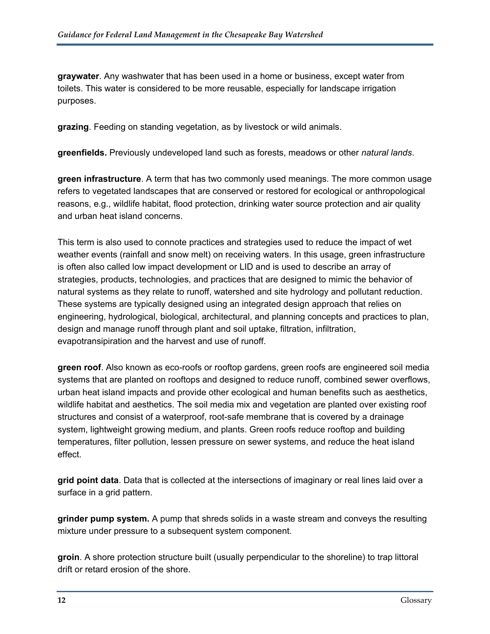**graywater**. Any washwater that has been used in a home or business, except water from toilets. This water is considered to be more reusable, especially for landscape irrigation purposes.

**grazing**. Feeding on standing vegetation, as by livestock or wild animals.

**greenfields.** Previously undeveloped land such as forests, meadows or other *natural lands*.

**green infrastructure**. A term that has two commonly used meanings. The more common usage refers to vegetated landscapes that are conserved or restored for ecological or anthropological reasons, e.g., wildlife habitat, flood protection, drinking water source protection and air quality and urban heat island concerns.

This term is also used to connote practices and strategies used to reduce the impact of wet weather events (rainfall and snow melt) on receiving waters. In this usage, green infrastructure is often also called low impact development or LID and is used to describe an array of strategies, products, technologies, and practices that are designed to mimic the behavior of natural systems as they relate to runoff, watershed and site hydrology and pollutant reduction. These systems are typically designed using an integrated design approach that relies on engineering, hydrological, biological, architectural, and planning concepts and practices to plan, design and manage runoff through plant and soil uptake, filtration, infiltration, evapotransipiration and the harvest and use of runoff.

**green roof**. Also known as eco-roofs or rooftop gardens, green roofs are engineered soil media systems that are planted on rooftops and designed to reduce runoff, combined sewer overflows, urban heat island impacts and provide other ecological and human benefits such as aesthetics, wildlife habitat and aesthetics. The soil media mix and vegetation are planted over existing roof structures and consist of a waterproof, root-safe membrane that is covered by a drainage system, lightweight growing medium, and plants. Green roofs reduce rooftop and building temperatures, filter pollution, lessen pressure on sewer systems, and reduce the heat island effect.

**grid point data**. Data that is collected at the intersections of imaginary or real lines laid over a surface in a grid pattern.

**grinder pump system.** A pump that shreds solids in a waste stream and conveys the resulting mixture under pressure to a subsequent system component.

**groin**. A shore protection structure built (usually perpendicular to the shoreline) to trap littoral drift or retard erosion of the shore.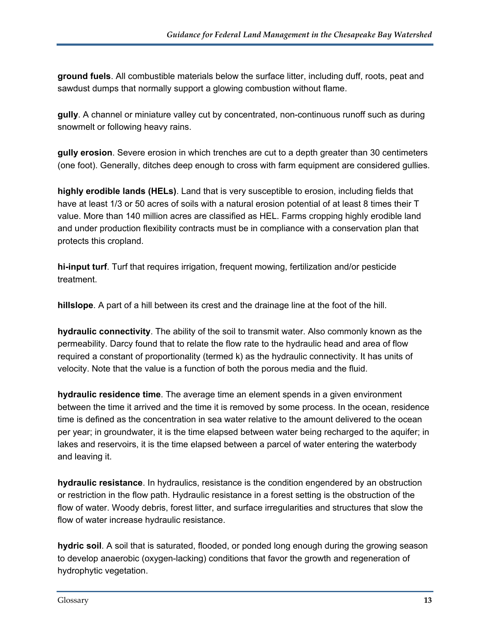**ground fuels**. All combustible materials below the surface litter, including duff, roots, peat and sawdust dumps that normally support a glowing combustion without flame.

**gully**. A channel or miniature valley cut by concentrated, non-continuous runoff such as during snowmelt or following heavy rains.

**gully erosion**. Severe erosion in which trenches are cut to a depth greater than 30 centimeters (one foot). Generally, ditches deep enough to cross with farm equipment are considered gullies.

**highly erodible lands (HELs)**. Land that is very susceptible to erosion, including fields that have at least 1/3 or 50 acres of soils with a natural erosion potential of at least 8 times their T value. More than 140 million acres are classified as HEL. Farms cropping highly erodible land and under production flexibility contracts must be in compliance with a conservation plan that protects this cropland.

**hi-input turf**. Turf that requires irrigation, frequent mowing, fertilization and/or pesticide treatment.

**hillslope**. A part of a hill between its crest and the drainage line at the foot of the hill.

**hydraulic connectivity**. The ability of the soil to transmit water. Also commonly known as the permeability. Darcy found that to relate the flow rate to the hydraulic head and area of flow required a constant of proportionality (termed k) as the hydraulic connectivity. It has units of velocity. Note that the value is a function of both the porous media and the fluid.

**hydraulic residence time**. The average time an element spends in a given environment between the time it arrived and the time it is removed by some process. In the ocean, residence time is defined as the concentration in sea water relative to the amount delivered to the ocean per year; in groundwater, it is the time elapsed between water being recharged to the aquifer; in lakes and reservoirs, it is the time elapsed between a parcel of water entering the waterbody and leaving it.

**hydraulic resistance**. In hydraulics, resistance is the condition engendered by an obstruction or restriction in the flow path. Hydraulic resistance in a forest setting is the obstruction of the flow of water. Woody debris, forest litter, and surface irregularities and structures that slow the flow of water increase hydraulic resistance.

**hydric soil**. A soil that is saturated, flooded, or ponded long enough during the growing season to develop anaerobic (oxygen-lacking) conditions that favor the growth and regeneration of hydrophytic vegetation.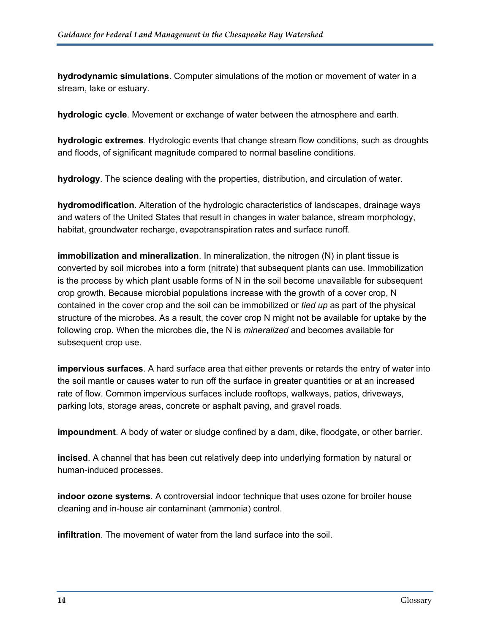**hydrodynamic simulations**. Computer simulations of the motion or movement of water in a stream, lake or estuary.

**hydrologic cycle**. Movement or exchange of water between the atmosphere and earth.

**hydrologic extremes**. Hydrologic events that change stream flow conditions, such as droughts and floods, of significant magnitude compared to normal baseline conditions.

**hydrology**. The science dealing with the properties, distribution, and circulation of water.

**hydromodification**. Alteration of the hydrologic characteristics of landscapes, drainage ways and waters of the United States that result in changes in water balance, stream morphology, habitat, groundwater recharge, evapotranspiration rates and surface runoff.

**immobilization and mineralization**. In mineralization, the nitrogen (N) in plant tissue is converted by soil microbes into a form (nitrate) that subsequent plants can use. Immobilization is the process by which plant usable forms of N in the soil become unavailable for subsequent crop growth. Because microbial populations increase with the growth of a cover crop, N contained in the cover crop and the soil can be immobilized or *tied up* as part of the physical structure of the microbes. As a result, the cover crop N might not be available for uptake by the following crop. When the microbes die, the N is *mineralized* and becomes available for subsequent crop use.

**impervious surfaces**. A hard surface area that either prevents or retards the entry of water into the soil mantle or causes water to run off the surface in greater quantities or at an increased rate of flow. Common impervious surfaces include rooftops, walkways, patios, driveways, parking lots, storage areas, concrete or asphalt paving, and gravel roads.

**impoundment**. A body of water or sludge confined by a dam, dike, floodgate, or other barrier.

**incised**. A channel that has been cut relatively deep into underlying formation by natural or human-induced processes.

**indoor ozone systems**. A controversial indoor technique that uses ozone for broiler house cleaning and in-house air contaminant (ammonia) control.

**infiltration**. The movement of water from the land surface into the soil.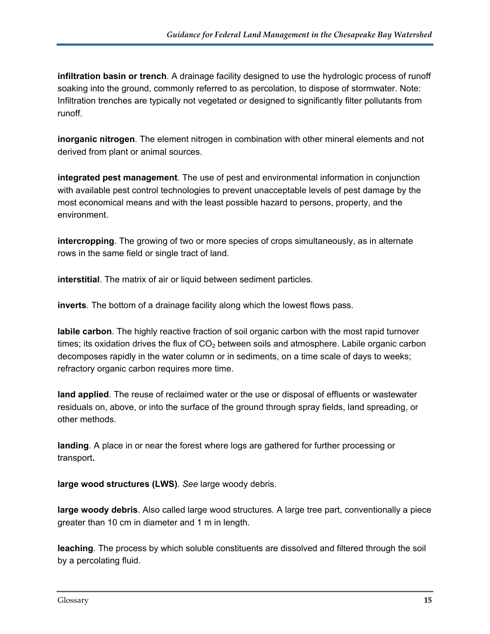**infiltration basin or trench**. A drainage facility designed to use the hydrologic process of runoff soaking into the ground, commonly referred to as percolation, to dispose of stormwater. Note: Infiltration trenches are typically not vegetated or designed to significantly filter pollutants from runoff.

**inorganic nitrogen**. The element nitrogen in combination with other mineral elements and not derived from plant or animal sources.

**integrated pest management**. The use of pest and environmental information in conjunction with available pest control technologies to prevent unacceptable levels of pest damage by the most economical means and with the least possible hazard to persons, property, and the environment.

**intercropping**. The growing of two or more species of crops simultaneously, as in alternate rows in the same field or single tract of land.

**interstitial**. The matrix of air or liquid between sediment particles.

**inverts**. The bottom of a drainage facility along which the lowest flows pass.

**labile carbon**. The highly reactive fraction of soil organic carbon with the most rapid turnover times; its oxidation drives the flux of  $CO<sub>2</sub>$  between soils and atmosphere. Labile organic carbon decomposes rapidly in the water column or in sediments, on a time scale of days to weeks; refractory organic carbon requires more time.

**land applied**. The reuse of reclaimed water or the use or disposal of effluents or wastewater residuals on, above, or into the surface of the ground through spray fields, land spreading, or other methods.

**landing**. A place in or near the forest where logs are gathered for further processing or transport**.** 

**large wood structures (LWS)**. *See* large woody debris.

**large woody debris**. Also called large wood structures. A large tree part, conventionally a piece greater than 10 cm in diameter and 1 m in length.

**leaching**. The process by which soluble constituents are dissolved and filtered through the soil by a percolating fluid.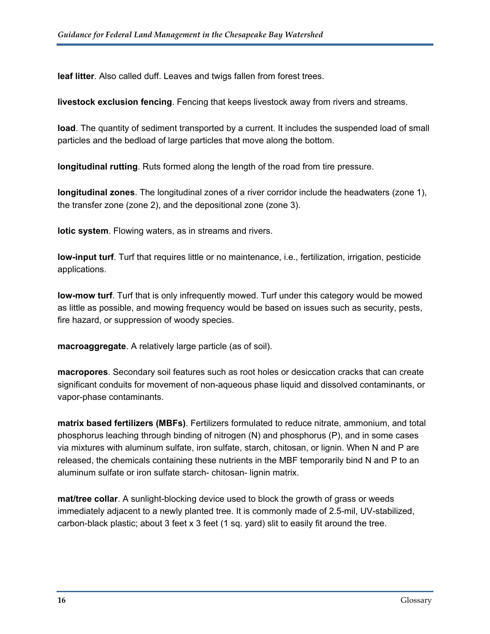**leaf litter**. Also called duff. Leaves and twigs fallen from forest trees.

**livestock exclusion fencing**. Fencing that keeps livestock away from rivers and streams.

**load**. The quantity of sediment transported by a current. It includes the suspended load of small particles and the bedload of large particles that move along the bottom.

**longitudinal rutting**. Ruts formed along the length of the road from tire pressure.

**longitudinal zones**. The longitudinal zones of a river corridor include the headwaters (zone 1), the transfer zone (zone 2), and the depositional zone (zone 3).

**lotic system**. Flowing waters, as in streams and rivers.

**low-input turf**. Turf that requires little or no maintenance, i.e., fertilization, irrigation, pesticide applications.

**low-mow turf**. Turf that is only infrequently mowed. Turf under this category would be mowed as little as possible, and mowing frequency would be based on issues such as security, pests, fire hazard, or suppression of woody species.

**macroaggregate**. A relatively large particle (as of soil).

**macropores**. Secondary soil features such as root holes or desiccation cracks that can create significant conduits for movement of non-aqueous phase liquid and dissolved contaminants, or vapor-phase contaminants.

**matrix based fertilizers (MBFs)**. Fertilizers formulated to reduce nitrate, ammonium, and total phosphorus leaching through binding of nitrogen (N) and phosphorus (P), and in some cases via mixtures with aluminum sulfate, iron sulfate, starch, chitosan, or lignin. When N and P are released, the chemicals containing these nutrients in the MBF temporarily bind N and P to an aluminum sulfate or iron sulfate starch- chitosan- lignin matrix.

**mat/tree collar**. A sunlight-blocking device used to block the growth of grass or weeds immediately adjacent to a newly planted tree. It is commonly made of 2.5-mil, UV-stabilized, carbon-black plastic; about 3 feet x 3 feet (1 sq. yard) slit to easily fit around the tree.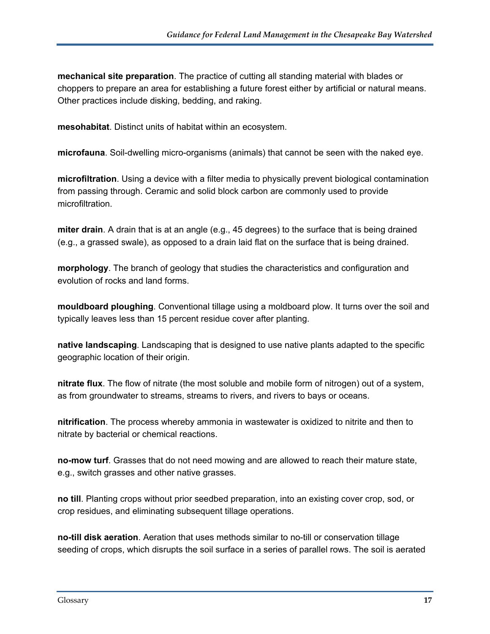**mechanical site preparation**. The practice of cutting all standing material with blades or choppers to prepare an area for establishing a future forest either by artificial or natural means. Other practices include disking, bedding, and raking.

**mesohabitat**. Distinct units of habitat within an ecosystem.

**microfauna**. Soil-dwelling micro-organisms (animals) that cannot be seen with the naked eye.

**microfiltration**. Using a device with a filter media to physically prevent biological contamination from passing through. Ceramic and solid block carbon are commonly used to provide microfiltration.

**miter drain**. A drain that is at an angle (e.g., 45 degrees) to the surface that is being drained (e.g., a grassed swale), as opposed to a drain laid flat on the surface that is being drained.

**morphology**. The branch of geology that studies the characteristics and configuration and evolution of rocks and land forms.

**mouldboard ploughing**. Conventional tillage using a moldboard plow. It turns over the soil and typically leaves less than 15 percent residue cover after planting.

**native landscaping**. Landscaping that is designed to use native plants adapted to the specific geographic location of their origin.

**nitrate flux**. The flow of nitrate (the most soluble and mobile form of nitrogen) out of a system, as from groundwater to streams, streams to rivers, and rivers to bays or oceans.

**nitrification**. The process whereby ammonia in wastewater is oxidized to nitrite and then to nitrate by bacterial or chemical reactions.

**no-mow turf**. Grasses that do not need mowing and are allowed to reach their mature state, e.g., switch grasses and other native grasses.

**no till**. Planting crops without prior seedbed preparation, into an existing cover crop, sod, or crop residues, and eliminating subsequent tillage operations.

**no-till disk aeration**. Aeration that uses methods similar to no-till or conservation tillage seeding of crops, which disrupts the soil surface in a series of parallel rows. The soil is aerated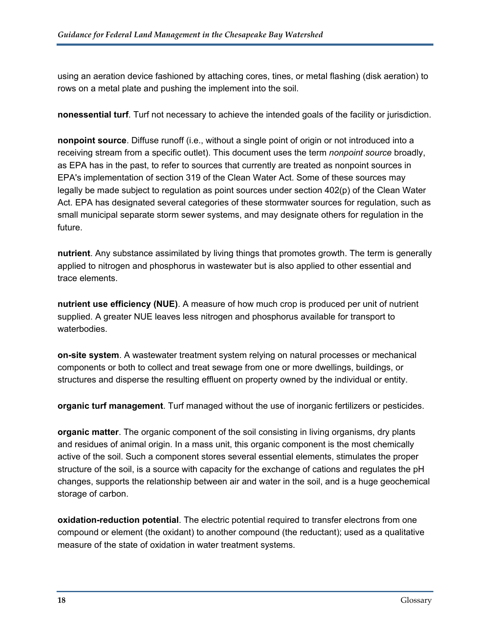using an aeration device fashioned by attaching cores, tines, or metal flashing (disk aeration) to rows on a metal plate and pushing the implement into the soil.

**nonessential turf**. Turf not necessary to achieve the intended goals of the facility or jurisdiction.

**nonpoint source**. Diffuse runoff (i.e., without a single point of origin or not introduced into a receiving stream from a specific outlet). This document uses the term *nonpoint source* broadly, as EPA has in the past, to refer to sources that currently are treated as nonpoint sources in EPA's implementation of section 319 of the Clean Water Act. Some of these sources may legally be made subject to regulation as point sources under section 402(p) of the Clean Water Act. EPA has designated several categories of these stormwater sources for regulation, such as small municipal separate storm sewer systems, and may designate others for regulation in the future.

**nutrient**. Any substance assimilated by living things that promotes growth. The term is generally applied to nitrogen and phosphorus in wastewater but is also applied to other essential and trace elements.

**nutrient use efficiency (NUE)**. A measure of how much crop is produced per unit of nutrient supplied. A greater NUE leaves less nitrogen and phosphorus available for transport to waterbodies.

**on-site system**. A wastewater treatment system relying on natural processes or mechanical components or both to collect and treat sewage from one or more dwellings, buildings, or structures and disperse the resulting effluent on property owned by the individual or entity.

**organic turf management**. Turf managed without the use of inorganic fertilizers or pesticides.

**organic matter**. The organic component of the soil consisting in living organisms, dry plants and residues of animal origin. In a mass unit, this organic component is the most chemically active of the soil. Such a component stores several essential elements, stimulates the proper structure of the soil, is a source with capacity for the exchange of cations and regulates the pH changes, supports the relationship between air and water in the soil, and is a huge geochemical storage of carbon.

**oxidation-reduction potential**. The electric potential required to transfer electrons from one compound or element (the oxidant) to another compound (the reductant); used as a qualitative measure of the state of oxidation in water treatment systems.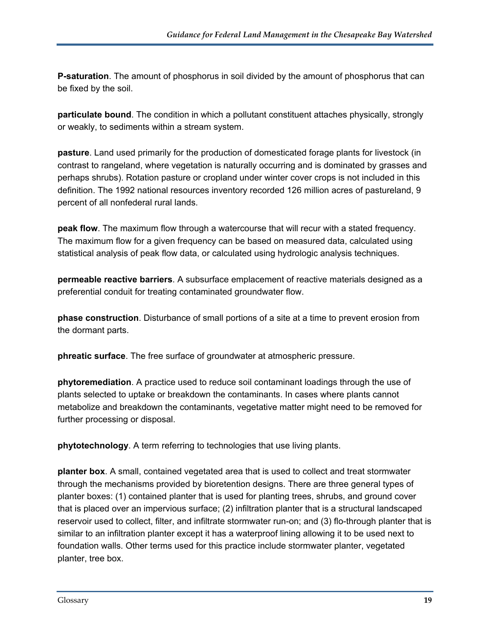**P-saturation**. The amount of phosphorus in soil divided by the amount of phosphorus that can be fixed by the soil.

**particulate bound**. The condition in which a pollutant constituent attaches physically, strongly or weakly, to sediments within a stream system.

**pasture**. Land used primarily for the production of domesticated forage plants for livestock (in contrast to rangeland, where vegetation is naturally occurring and is dominated by grasses and perhaps shrubs). Rotation pasture or cropland under winter cover crops is not included in this definition. The 1992 national resources inventory recorded 126 million acres of pastureland, 9 percent of all nonfederal rural lands.

**peak flow**. The maximum flow through a watercourse that will recur with a stated frequency. The maximum flow for a given frequency can be based on measured data, calculated using statistical analysis of peak flow data, or calculated using hydrologic analysis techniques.

**permeable reactive barriers**. A subsurface emplacement of reactive materials designed as a preferential conduit for treating contaminated groundwater flow.

**phase construction**. Disturbance of small portions of a site at a time to prevent erosion from the dormant parts.

**phreatic surface**. The free surface of groundwater at atmospheric pressure.

**phytoremediation**. A practice used to reduce soil contaminant loadings through the use of plants selected to uptake or breakdown the contaminants. In cases where plants cannot metabolize and breakdown the contaminants, vegetative matter might need to be removed for further processing or disposal.

**phytotechnology**. A term referring to technologies that use living plants.

**planter box**. A small, contained vegetated area that is used to collect and treat stormwater through the mechanisms provided by bioretention designs. There are three general types of planter boxes: (1) contained planter that is used for planting trees, shrubs, and ground cover that is placed over an impervious surface; (2) infiltration planter that is a structural landscaped reservoir used to collect, filter, and infiltrate stormwater run-on; and (3) flo-through planter that is similar to an infiltration planter except it has a waterproof lining allowing it to be used next to foundation walls. Other terms used for this practice include stormwater planter, vegetated planter, tree box.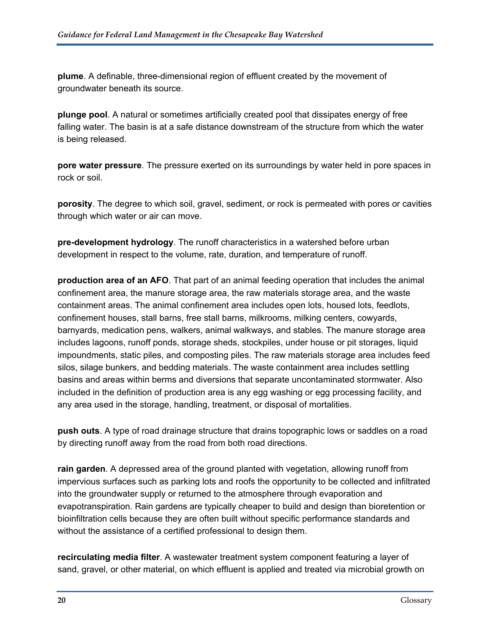**plume**. A definable, three-dimensional region of effluent created by the movement of groundwater beneath its source.

**plunge pool**. A natural or sometimes artificially created pool that dissipates energy of free falling water. The basin is at a safe distance downstream of the structure from which the water is being released.

**pore water pressure**. The pressure exerted on its surroundings by water held in pore spaces in rock or soil.

**porosity**. The degree to which soil, gravel, sediment, or rock is permeated with pores or cavities through which water or air can move.

**pre-development hydrology**. The runoff characteristics in a watershed before urban development in respect to the volume, rate, duration, and temperature of runoff.

**production area of an AFO**. That part of an animal feeding operation that includes the animal confinement area, the manure storage area, the raw materials storage area, and the waste containment areas. The animal confinement area includes open lots, housed lots, feedlots, confinement houses, stall barns, free stall barns, milkrooms, milking centers, cowyards, barnyards, medication pens, walkers, animal walkways, and stables. The manure storage area includes lagoons, runoff ponds, storage sheds, stockpiles, under house or pit storages, liquid impoundments, static piles, and composting piles. The raw materials storage area includes feed silos, silage bunkers, and bedding materials. The waste containment area includes settling basins and areas within berms and diversions that separate uncontaminated stormwater. Also included in the definition of production area is any egg washing or egg processing facility, and any area used in the storage, handling, treatment, or disposal of mortalities.

**push outs**. A type of road drainage structure that drains topographic lows or saddles on a road by directing runoff away from the road from both road directions.

**rain garden**. A depressed area of the ground planted with vegetation, allowing runoff from impervious surfaces such as parking lots and roofs the opportunity to be collected and infiltrated into the groundwater supply or returned to the atmosphere through evaporation and evapotranspiration. Rain gardens are typically cheaper to build and design than bioretention or bioinfiltration cells because they are often built without specific performance standards and without the assistance of a certified professional to design them.

**recirculating media filter**. A wastewater treatment system component featuring a layer of sand, gravel, or other material, on which effluent is applied and treated via microbial growth on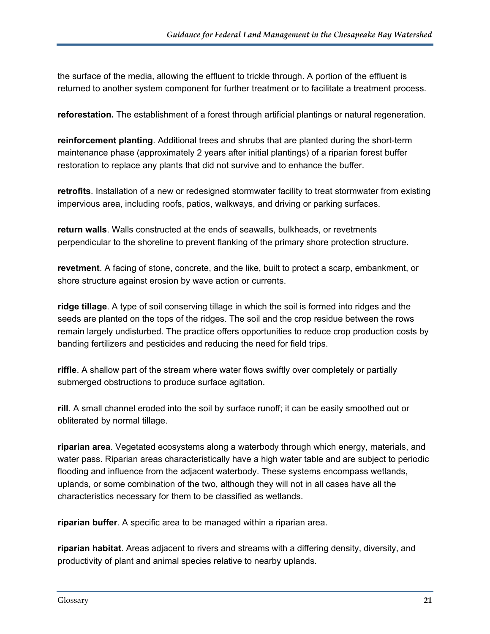the surface of the media, allowing the effluent to trickle through. A portion of the effluent is returned to another system component for further treatment or to facilitate a treatment process.

**reforestation.** The establishment of a forest through artificial plantings or natural regeneration.

**reinforcement planting**. Additional trees and shrubs that are planted during the short-term maintenance phase (approximately 2 years after initial plantings) of a riparian forest buffer restoration to replace any plants that did not survive and to enhance the buffer.

**retrofits**. Installation of a new or redesigned stormwater facility to treat stormwater from existing impervious area, including roofs, patios, walkways, and driving or parking surfaces.

**return walls**. Walls constructed at the ends of seawalls, bulkheads, or revetments perpendicular to the shoreline to prevent flanking of the primary shore protection structure.

**revetment**. A facing of stone, concrete, and the like, built to protect a scarp, embankment, or shore structure against erosion by wave action or currents.

**ridge tillage**. A type of soil conserving tillage in which the soil is formed into ridges and the seeds are planted on the tops of the ridges. The soil and the crop residue between the rows remain largely undisturbed. The practice offers opportunities to reduce crop production costs by banding fertilizers and pesticides and reducing the need for field trips.

**riffle**. A shallow part of the stream where water flows swiftly over completely or partially submerged obstructions to produce surface agitation.

**rill**. A small channel eroded into the soil by surface runoff; it can be easily smoothed out or obliterated by normal tillage.

**riparian area**. Vegetated ecosystems along a waterbody through which energy, materials, and water pass. Riparian areas characteristically have a high water table and are subject to periodic flooding and influence from the adjacent waterbody. These systems encompass wetlands, uplands, or some combination of the two, although they will not in all cases have all the characteristics necessary for them to be classified as wetlands.

**riparian buffer**. A specific area to be managed within a riparian area.

**riparian habitat**. Areas adjacent to rivers and streams with a differing density, diversity, and productivity of plant and animal species relative to nearby uplands.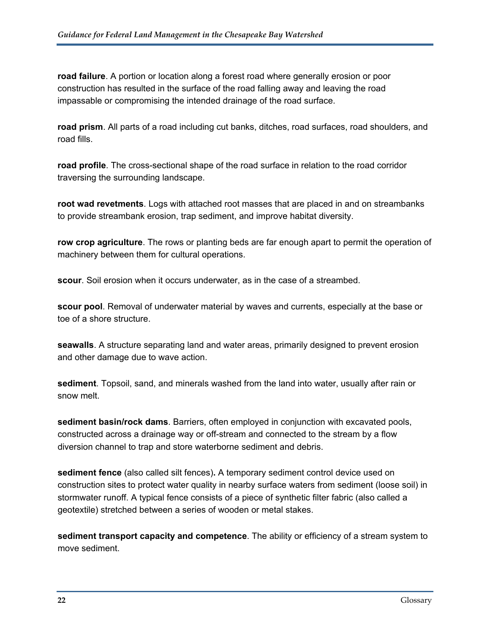**road failure**. A portion or location along a forest road where generally erosion or poor construction has resulted in the surface of the road falling away and leaving the road impassable or compromising the intended drainage of the road surface.

**road prism**. All parts of a road including cut banks, ditches, road surfaces, road shoulders, and road fills.

**road profile**. The cross-sectional shape of the road surface in relation to the road corridor traversing the surrounding landscape.

**root wad revetments**. Logs with attached root masses that are placed in and on streambanks to provide streambank erosion, trap sediment, and improve habitat diversity.

**row crop agriculture**. The rows or planting beds are far enough apart to permit the operation of machinery between them for cultural operations.

**scour**. Soil erosion when it occurs underwater, as in the case of a streambed.

**scour pool**. Removal of underwater material by waves and currents, especially at the base or toe of a shore structure.

**seawalls**. A structure separating land and water areas, primarily designed to prevent erosion and other damage due to wave action.

**sediment**. Topsoil, sand, and minerals washed from the land into water, usually after rain or snow melt.

**sediment basin/rock dams**. Barriers, often employed in conjunction with excavated pools, constructed across a drainage way or off-stream and connected to the stream by a flow diversion channel to trap and store waterborne sediment and debris.

**sediment fence** (also called silt fences)**.** A temporary sediment control device used on construction sites to protect water quality in nearby surface waters from sediment (loose soil) in stormwater runoff. A typical fence consists of a piece of synthetic filter fabric (also called a geotextile) stretched between a series of wooden or metal stakes.

**sediment transport capacity and competence**. The ability or efficiency of a stream system to move sediment.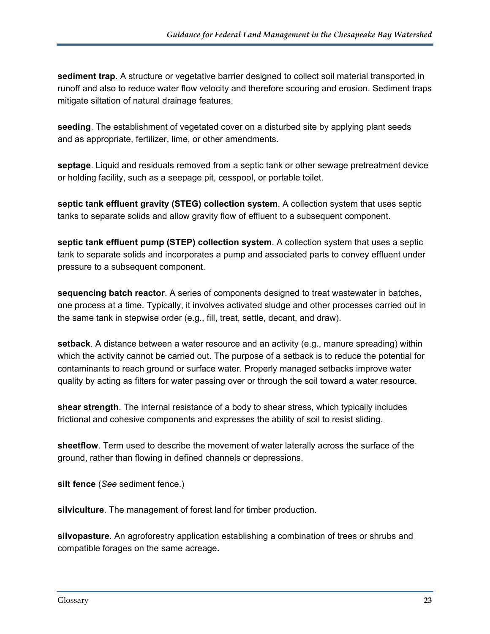**sediment trap**. A structure or vegetative barrier designed to collect soil material transported in runoff and also to reduce water flow velocity and therefore scouring and erosion. Sediment traps mitigate siltation of natural drainage features.

**seeding**. The establishment of vegetated cover on a disturbed site by applying plant seeds and as appropriate, fertilizer, lime, or other amendments.

**septage**. Liquid and residuals removed from a septic tank or other sewage pretreatment device or holding facility, such as a seepage pit, cesspool, or portable toilet.

**septic tank effluent gravity (STEG) collection system**. A collection system that uses septic tanks to separate solids and allow gravity flow of effluent to a subsequent component.

**septic tank effluent pump (STEP) collection system**. A collection system that uses a septic tank to separate solids and incorporates a pump and associated parts to convey effluent under pressure to a subsequent component.

**sequencing batch reactor**. A series of components designed to treat wastewater in batches, one process at a time. Typically, it involves activated sludge and other processes carried out in the same tank in stepwise order (e.g., fill, treat, settle, decant, and draw).

**setback**. A distance between a water resource and an activity (e.g., manure spreading) within which the activity cannot be carried out. The purpose of a setback is to reduce the potential for contaminants to reach ground or surface water. Properly managed setbacks improve water quality by acting as filters for water passing over or through the soil toward a water resource.

**shear strength**. The internal resistance of a body to shear stress, which typically includes frictional and cohesive components and expresses the ability of soil to resist sliding.

**sheetflow**. Term used to describe the movement of water laterally across the surface of the ground, rather than flowing in defined channels or depressions.

**silt fence** (*See* sediment fence.)

**silviculture**. The management of forest land for timber production.

**silvopasture**. An agroforestry application establishing a combination of trees or shrubs and compatible forages on the same acreage**.**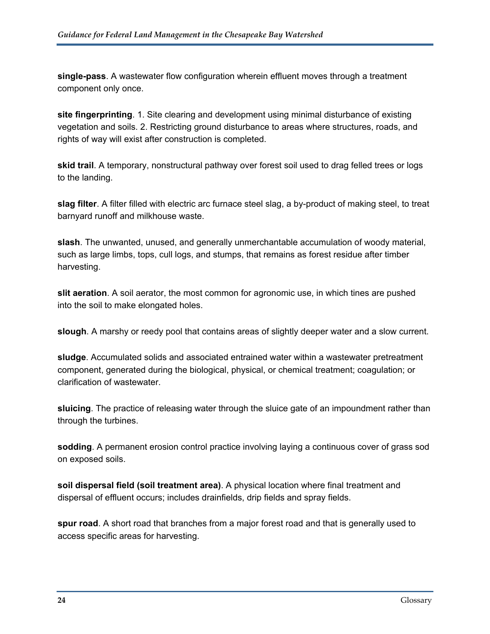**single-pass**. A wastewater flow configuration wherein effluent moves through a treatment component only once.

**site fingerprinting**. 1. Site clearing and development using minimal disturbance of existing vegetation and soils. 2. Restricting ground disturbance to areas where structures, roads, and rights of way will exist after construction is completed.

**skid trail**. A temporary, nonstructural pathway over forest soil used to drag felled trees or logs to the landing.

**slag filter**. A filter filled with electric arc furnace steel slag, a by-product of making steel, to treat barnyard runoff and milkhouse waste.

**slash**. The unwanted, unused, and generally unmerchantable accumulation of woody material, such as large limbs, tops, cull logs, and stumps, that remains as forest residue after timber harvesting.

**slit aeration**. A soil aerator, the most common for agronomic use, in which tines are pushed into the soil to make elongated holes.

**slough**. A marshy or reedy pool that contains areas of slightly deeper water and a slow current.

**sludge**. Accumulated solids and associated entrained water within a wastewater pretreatment component, generated during the biological, physical, or chemical treatment; coagulation; or clarification of wastewater.

**sluicing**. The practice of releasing water through the sluice gate of an impoundment rather than through the turbines.

**sodding**. A permanent erosion control practice involving laying a continuous cover of grass sod on exposed soils.

**soil dispersal field (soil treatment area)**. A physical location where final treatment and dispersal of effluent occurs; includes drainfields, drip fields and spray fields.

**spur road**. A short road that branches from a major forest road and that is generally used to access specific areas for harvesting.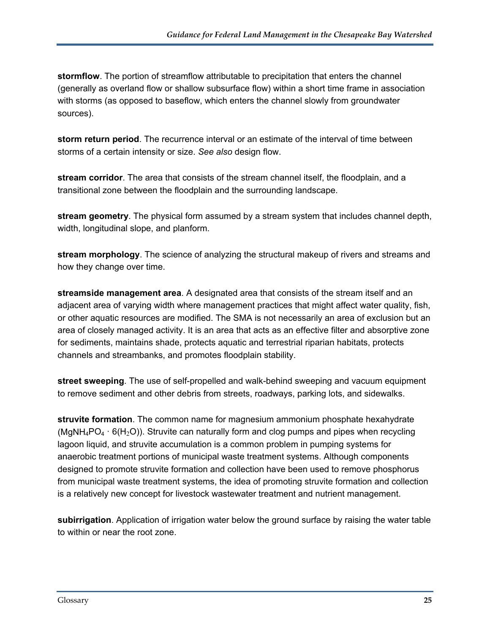**stormflow**. The portion of streamflow attributable to precipitation that enters the channel (generally as overland flow or shallow subsurface flow) within a short time frame in association with storms (as opposed to baseflow, which enters the channel slowly from groundwater sources).

**storm return period**. The recurrence interval or an estimate of the interval of time between storms of a certain intensity or size. *See also* design flow.

**stream corridor**. The area that consists of the stream channel itself, the floodplain, and a transitional zone between the floodplain and the surrounding landscape.

**stream geometry**. The physical form assumed by a stream system that includes channel depth, width, longitudinal slope, and planform.

**stream morphology**. The science of analyzing the structural makeup of rivers and streams and how they change over time.

**streamside management area**. A designated area that consists of the stream itself and an adjacent area of varying width where management practices that might affect water quality, fish, or other aquatic resources are modified. The SMA is not necessarily an area of exclusion but an area of closely managed activity. It is an area that acts as an effective filter and absorptive zone for sediments, maintains shade, protects aquatic and terrestrial riparian habitats, protects channels and streambanks, and promotes floodplain stability.

**street sweeping**. The use of self-propelled and walk-behind sweeping and vacuum equipment to remove sediment and other debris from streets, roadways, parking lots, and sidewalks.

**struvite formation**. The common name for magnesium ammonium phosphate hexahydrate (MgNH<sub>4</sub>PO<sub>4</sub>  $\cdot$  6(H<sub>2</sub>O)). Struvite can naturally form and clog pumps and pipes when recycling lagoon liquid, and struvite accumulation is a common problem in pumping systems for anaerobic treatment portions of municipal waste treatment systems. Although components designed to promote struvite formation and collection have been used to remove phosphorus from municipal waste treatment systems, the idea of promoting struvite formation and collection is a relatively new concept for livestock wastewater treatment and nutrient management.

**subirrigation**. Application of irrigation water below the ground surface by raising the water table to within or near the root zone.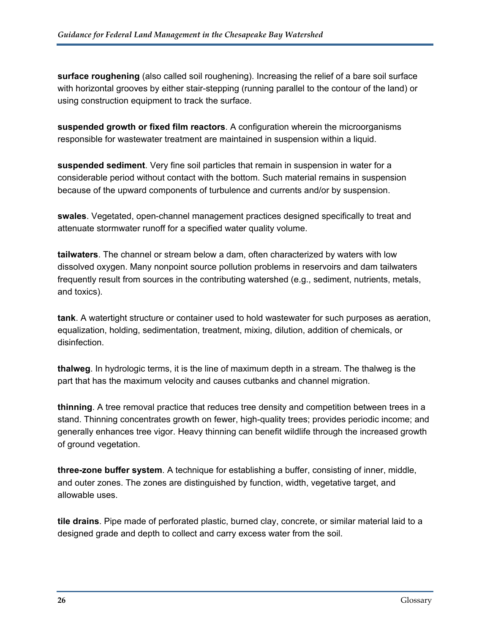**surface roughening** (also called soil roughening). Increasing the relief of a bare soil surface with horizontal grooves by either stair-stepping (running parallel to the contour of the land) or using construction equipment to track the surface.

**suspended growth or fixed film reactors**. A configuration wherein the microorganisms responsible for wastewater treatment are maintained in suspension within a liquid.

**suspended sediment**. Very fine soil particles that remain in suspension in water for a considerable period without contact with the bottom. Such material remains in suspension because of the upward components of turbulence and currents and/or by suspension.

**swales**. Vegetated, open-channel management practices designed specifically to treat and attenuate stormwater runoff for a specified water quality volume.

**tailwaters**. The channel or stream below a dam, often characterized by waters with low dissolved oxygen. Many nonpoint source pollution problems in reservoirs and dam tailwaters frequently result from sources in the contributing watershed (e.g., sediment, nutrients, metals, and toxics).

**tank**. A watertight structure or container used to hold wastewater for such purposes as aeration, equalization, holding, sedimentation, treatment, mixing, dilution, addition of chemicals, or disinfection.

**thalweg**. In hydrologic terms, it is the line of maximum depth in a stream. The thalweg is the part that has the maximum velocity and causes cutbanks and channel migration.

**thinning**. A tree removal practice that reduces tree density and competition between trees in a stand. Thinning concentrates growth on fewer, high-quality trees; provides periodic income; and generally enhances tree vigor. Heavy thinning can benefit wildlife through the increased growth of ground vegetation.

**three-zone buffer system**. A technique for establishing a buffer, consisting of inner, middle, and outer zones. The zones are distinguished by function, width, vegetative target, and allowable uses.

**tile drains**. Pipe made of perforated plastic, burned clay, concrete, or similar material laid to a designed grade and depth to collect and carry excess water from the soil.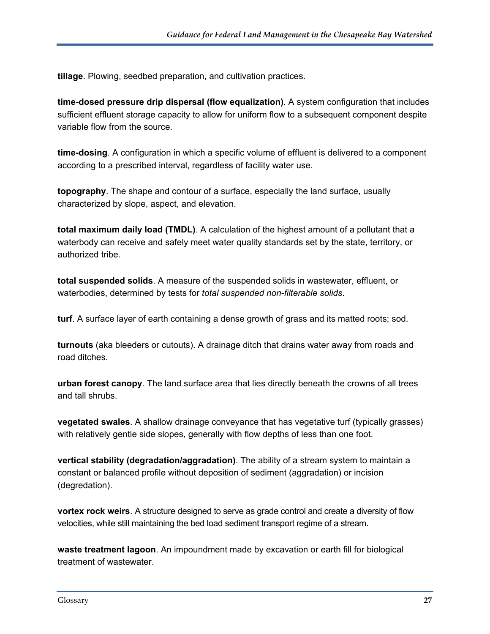**tillage**. Plowing, seedbed preparation, and cultivation practices.

**time-dosed pressure drip dispersal (flow equalization)**. A system configuration that includes sufficient effluent storage capacity to allow for uniform flow to a subsequent component despite variable flow from the source.

**time-dosing**. A configuration in which a specific volume of effluent is delivered to a component according to a prescribed interval, regardless of facility water use.

**topography**. The shape and contour of a surface, especially the land surface, usually characterized by slope, aspect, and elevation.

**total maximum daily load (TMDL)**. A calculation of the highest amount of a pollutant that a waterbody can receive and safely meet water quality standards set by the state, territory, or authorized tribe.

**total suspended solids**. A measure of the suspended solids in wastewater, effluent, or waterbodies, determined by tests for *total suspended non-filterable solids*.

**turf**. A surface layer of earth containing a dense growth of grass and its matted roots; sod.

**turnouts** (aka bleeders or cutouts). A drainage ditch that drains water away from roads and road ditches.

**urban forest canopy**. The land surface area that lies directly beneath the crowns of all trees and tall shrubs.

**vegetated swales**. A shallow drainage conveyance that has vegetative turf (typically grasses) with relatively gentle side slopes, generally with flow depths of less than one foot.

**vertical stability (degradation/aggradation)**. The ability of a stream system to maintain a constant or balanced profile without deposition of sediment (aggradation) or incision (degredation).

**vortex rock weirs**. A structure designed to serve as grade control and create a diversity of flow velocities, while still maintaining the bed load sediment transport regime of a stream.

**waste treatment lagoon**. An impoundment made by excavation or earth fill for biological treatment of wastewater.